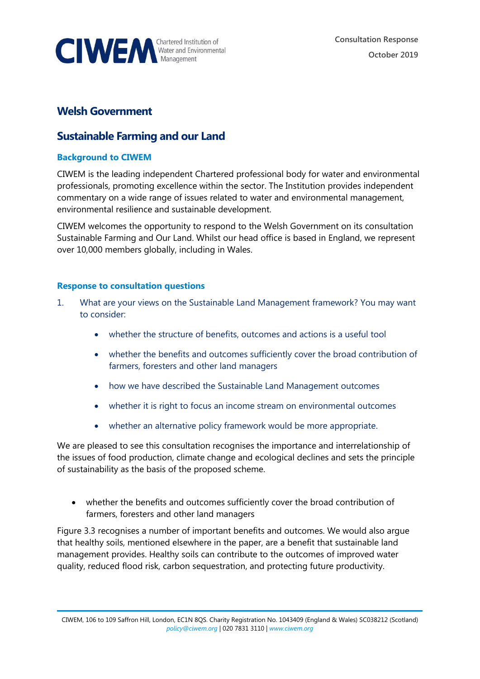

## **Welsh Government**

## **Sustainable Farming and our Land**

## **Background to CIWEM**

CIWEM is the leading independent Chartered professional body for water and environmental professionals, promoting excellence within the sector. The Institution provides independent commentary on a wide range of issues related to water and environmental management, environmental resilience and sustainable development.

CIWEM welcomes the opportunity to respond to the Welsh Government on its consultation Sustainable Farming and Our Land. Whilst our head office is based in England, we represent over 10,000 members globally, including in Wales.

## **Response to consultation questions**

- 1. What are your views on the Sustainable Land Management framework? You may want to consider:
	- whether the structure of benefits, outcomes and actions is a useful tool
	- whether the benefits and outcomes sufficiently cover the broad contribution of farmers, foresters and other land managers
	- how we have described the Sustainable Land Management outcomes
	- whether it is right to focus an income stream on environmental outcomes
	- whether an alternative policy framework would be more appropriate.

We are pleased to see this consultation recognises the importance and interrelationship of the issues of food production, climate change and ecological declines and sets the principle of sustainability as the basis of the proposed scheme.

• whether the benefits and outcomes sufficiently cover the broad contribution of farmers, foresters and other land managers

Figure 3.3 recognises a number of important benefits and outcomes. We would also argue that healthy soils, mentioned elsewhere in the paper, are a benefit that sustainable land management provides. Healthy soils can contribute to the outcomes of improved water quality, reduced flood risk, carbon sequestration, and protecting future productivity.

CIWEM, 106 to 109 Saffron Hill, London, EC1N 8QS. Charity Registration No. 1043409 (England & Wales) SC038212 (Scotland) *[policy@ciwem.org](mailto:policy@ciwem.org)* | 020 7831 3110 | *[www.ciwem.org](http://www.ciwem.org/)*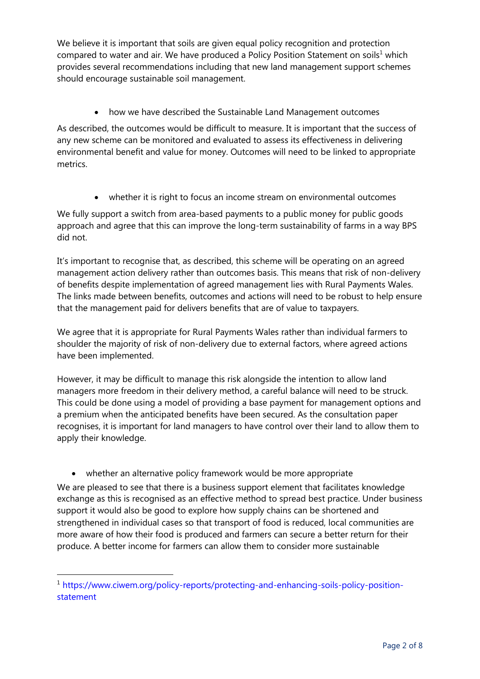We believe it is important that soils are given equal policy recognition and protection compared to water and air. We have produced a Policy Position Statement on soils<sup>1</sup> which provides several recommendations including that new land management support schemes should encourage sustainable soil management.

• how we have described the Sustainable Land Management outcomes

As described, the outcomes would be difficult to measure. It is important that the success of any new scheme can be monitored and evaluated to assess its effectiveness in delivering environmental benefit and value for money. Outcomes will need to be linked to appropriate metrics.

• whether it is right to focus an income stream on environmental outcomes

We fully support a switch from area-based payments to a public money for public goods approach and agree that this can improve the long-term sustainability of farms in a way BPS did not.

It's important to recognise that, as described, this scheme will be operating on an agreed management action delivery rather than outcomes basis. This means that risk of non-delivery of benefits despite implementation of agreed management lies with Rural Payments Wales. The links made between benefits, outcomes and actions will need to be robust to help ensure that the management paid for delivers benefits that are of value to taxpayers.

We agree that it is appropriate for Rural Payments Wales rather than individual farmers to shoulder the majority of risk of non-delivery due to external factors, where agreed actions have been implemented.

However, it may be difficult to manage this risk alongside the intention to allow land managers more freedom in their delivery method, a careful balance will need to be struck. This could be done using a model of providing a base payment for management options and a premium when the anticipated benefits have been secured. As the consultation paper recognises, it is important for land managers to have control over their land to allow them to apply their knowledge.

• whether an alternative policy framework would be more appropriate

We are pleased to see that there is a business support element that facilitates knowledge exchange as this is recognised as an effective method to spread best practice. Under business support it would also be good to explore how supply chains can be shortened and strengthened in individual cases so that transport of food is reduced, local communities are more aware of how their food is produced and farmers can secure a better return for their produce. A better income for farmers can allow them to consider more sustainable

<sup>&</sup>lt;sup>1</sup> [https://www.ciwem.org/policy-reports/protecting-and-enhancing-soils-policy-position](https://www.ciwem.org/policy-reports/protecting-and-enhancing-soils-policy-position-statement)[statement](https://www.ciwem.org/policy-reports/protecting-and-enhancing-soils-policy-position-statement)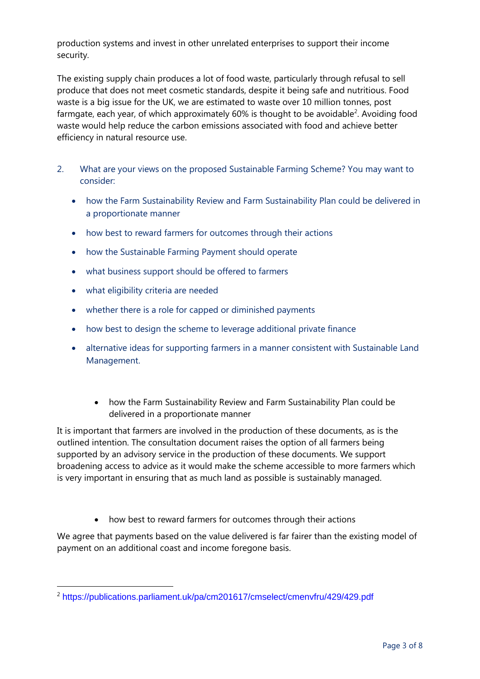production systems and invest in other unrelated enterprises to support their income security.

The existing supply chain produces a lot of food waste, particularly through refusal to sell produce that does not meet cosmetic standards, despite it being safe and nutritious. Food waste is a big issue for the UK, we are estimated to waste over 10 million tonnes, post farmgate, each year, of which approximately  $60\%$  is thought to be avoidable<sup>2</sup>. Avoiding food waste would help reduce the carbon emissions associated with food and achieve better efficiency in natural resource use.

- 2. What are your views on the proposed Sustainable Farming Scheme? You may want to consider:
	- how the Farm Sustainability Review and Farm Sustainability Plan could be delivered in a proportionate manner
	- how best to reward farmers for outcomes through their actions
	- how the Sustainable Farming Payment should operate
	- what business support should be offered to farmers
	- what eligibility criteria are needed
	- whether there is a role for capped or diminished payments
	- how best to design the scheme to leverage additional private finance
	- alternative ideas for supporting farmers in a manner consistent with Sustainable Land Management.
		- how the Farm Sustainability Review and Farm Sustainability Plan could be delivered in a proportionate manner

It is important that farmers are involved in the production of these documents, as is the outlined intention. The consultation document raises the option of all farmers being supported by an advisory service in the production of these documents. We support broadening access to advice as it would make the scheme accessible to more farmers which is very important in ensuring that as much land as possible is sustainably managed.

• how best to reward farmers for outcomes through their actions

We agree that payments based on the value delivered is far fairer than the existing model of payment on an additional coast and income foregone basis.

<sup>2</sup> <https://publications.parliament.uk/pa/cm201617/cmselect/cmenvfru/429/429.pdf>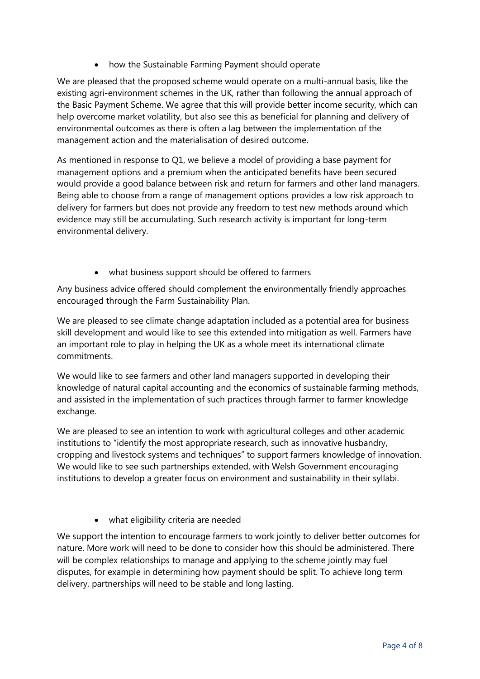• how the Sustainable Farming Payment should operate

We are pleased that the proposed scheme would operate on a multi-annual basis, like the existing agri-environment schemes in the UK, rather than following the annual approach of the Basic Payment Scheme. We agree that this will provide better income security, which can help overcome market volatility, but also see this as beneficial for planning and delivery of environmental outcomes as there is often a lag between the implementation of the management action and the materialisation of desired outcome.

As mentioned in response to Q1, we believe a model of providing a base payment for management options and a premium when the anticipated benefits have been secured would provide a good balance between risk and return for farmers and other land managers. Being able to choose from a range of management options provides a low risk approach to delivery for farmers but does not provide any freedom to test new methods around which evidence may still be accumulating. Such research activity is important for long-term environmental delivery.

• what business support should be offered to farmers

Any business advice offered should complement the environmentally friendly approaches encouraged through the Farm Sustainability Plan.

We are pleased to see climate change adaptation included as a potential area for business skill development and would like to see this extended into mitigation as well. Farmers have an important role to play in helping the UK as a whole meet its international climate commitments.

We would like to see farmers and other land managers supported in developing their knowledge of natural capital accounting and the economics of sustainable farming methods, and assisted in the implementation of such practices through farmer to farmer knowledge exchange.

We are pleased to see an intention to work with agricultural colleges and other academic institutions to "identify the most appropriate research, such as innovative husbandry, cropping and livestock systems and techniques" to support farmers knowledge of innovation. We would like to see such partnerships extended, with Welsh Government encouraging institutions to develop a greater focus on environment and sustainability in their syllabi.

• what eligibility criteria are needed

We support the intention to encourage farmers to work jointly to deliver better outcomes for nature. More work will need to be done to consider how this should be administered. There will be complex relationships to manage and applying to the scheme jointly may fuel disputes, for example in determining how payment should be split. To achieve long term delivery, partnerships will need to be stable and long lasting.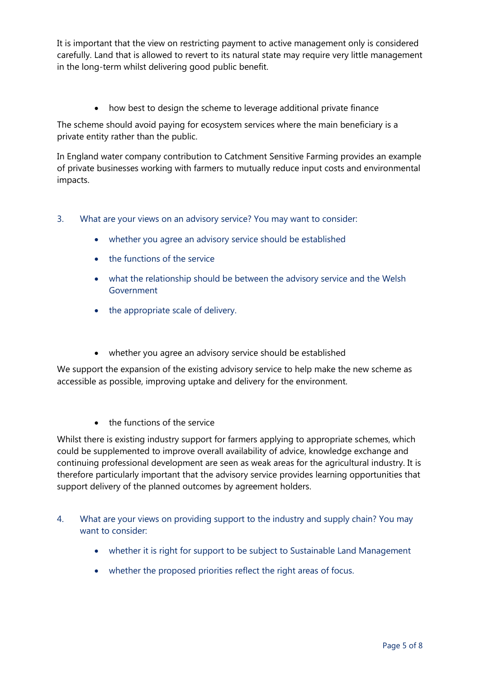It is important that the view on restricting payment to active management only is considered carefully. Land that is allowed to revert to its natural state may require very little management in the long-term whilst delivering good public benefit.

• how best to design the scheme to leverage additional private finance

The scheme should avoid paying for ecosystem services where the main beneficiary is a private entity rather than the public.

In England water company contribution to Catchment Sensitive Farming provides an example of private businesses working with farmers to mutually reduce input costs and environmental impacts.

- 3. What are your views on an advisory service? You may want to consider:
	- whether you agree an advisory service should be established
	- the functions of the service
	- what the relationship should be between the advisory service and the Welsh Government
	- the appropriate scale of delivery.
	- whether you agree an advisory service should be established

We support the expansion of the existing advisory service to help make the new scheme as accessible as possible, improving uptake and delivery for the environment.

• the functions of the service

Whilst there is existing industry support for farmers applying to appropriate schemes, which could be supplemented to improve overall availability of advice, knowledge exchange and continuing professional development are seen as weak areas for the agricultural industry. It is therefore particularly important that the advisory service provides learning opportunities that support delivery of the planned outcomes by agreement holders.

- 4. What are your views on providing support to the industry and supply chain? You may want to consider:
	- whether it is right for support to be subject to Sustainable Land Management
	- whether the proposed priorities reflect the right areas of focus.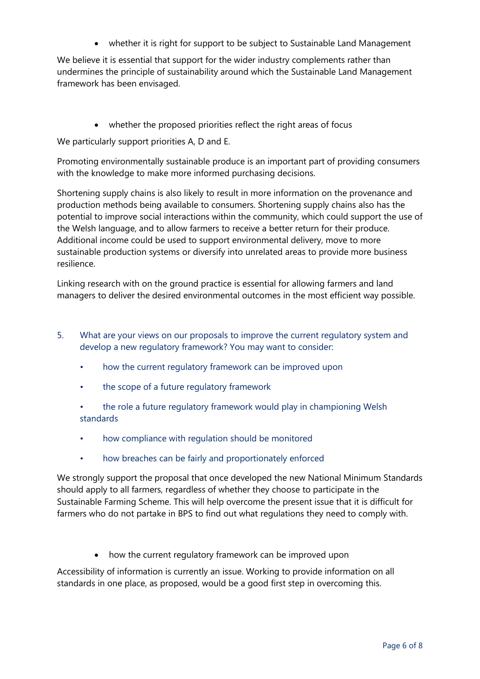• whether it is right for support to be subject to Sustainable Land Management

We believe it is essential that support for the wider industry complements rather than undermines the principle of sustainability around which the Sustainable Land Management framework has been envisaged.

• whether the proposed priorities reflect the right areas of focus

We particularly support priorities A, D and E.

Promoting environmentally sustainable produce is an important part of providing consumers with the knowledge to make more informed purchasing decisions.

Shortening supply chains is also likely to result in more information on the provenance and production methods being available to consumers. Shortening supply chains also has the potential to improve social interactions within the community, which could support the use of the Welsh language, and to allow farmers to receive a better return for their produce. Additional income could be used to support environmental delivery, move to more sustainable production systems or diversify into unrelated areas to provide more business resilience.

Linking research with on the ground practice is essential for allowing farmers and land managers to deliver the desired environmental outcomes in the most efficient way possible.

- 5. What are your views on our proposals to improve the current regulatory system and develop a new regulatory framework? You may want to consider:
	- how the current regulatory framework can be improved upon
	- the scope of a future regulatory framework
	- the role a future regulatory framework would play in championing Welsh standards
	- how compliance with regulation should be monitored
	- how breaches can be fairly and proportionately enforced

We strongly support the proposal that once developed the new National Minimum Standards should apply to all farmers, regardless of whether they choose to participate in the Sustainable Farming Scheme. This will help overcome the present issue that it is difficult for farmers who do not partake in BPS to find out what regulations they need to comply with.

• how the current regulatory framework can be improved upon

Accessibility of information is currently an issue. Working to provide information on all standards in one place, as proposed, would be a good first step in overcoming this.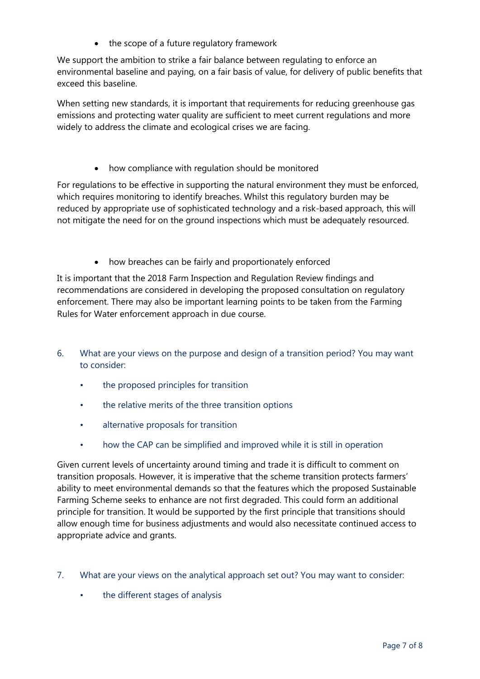• the scope of a future regulatory framework

We support the ambition to strike a fair balance between regulating to enforce an environmental baseline and paying, on a fair basis of value, for delivery of public benefits that exceed this baseline.

When setting new standards, it is important that requirements for reducing greenhouse gas emissions and protecting water quality are sufficient to meet current regulations and more widely to address the climate and ecological crises we are facing.

how compliance with regulation should be monitored

For regulations to be effective in supporting the natural environment they must be enforced, which requires monitoring to identify breaches. Whilst this regulatory burden may be reduced by appropriate use of sophisticated technology and a risk-based approach, this will not mitigate the need for on the ground inspections which must be adequately resourced.

• how breaches can be fairly and proportionately enforced

It is important that the 2018 Farm Inspection and Regulation Review findings and recommendations are considered in developing the proposed consultation on regulatory enforcement. There may also be important learning points to be taken from the Farming Rules for Water enforcement approach in due course.

- 6. What are your views on the purpose and design of a transition period? You may want to consider:
	- the proposed principles for transition
	- the relative merits of the three transition options
	- alternative proposals for transition
	- how the CAP can be simplified and improved while it is still in operation

Given current levels of uncertainty around timing and trade it is difficult to comment on transition proposals. However, it is imperative that the scheme transition protects farmers' ability to meet environmental demands so that the features which the proposed Sustainable Farming Scheme seeks to enhance are not first degraded. This could form an additional principle for transition. It would be supported by the first principle that transitions should allow enough time for business adjustments and would also necessitate continued access to appropriate advice and grants.

- 7. What are your views on the analytical approach set out? You may want to consider:
	- the different stages of analysis